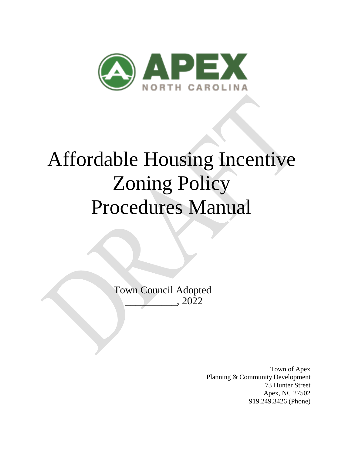

# Affordable Housing Incentive Zoning Policy Procedures Manual

Town Council Adopted \_\_\_\_\_\_\_\_\_\_, 2022

> Town of Apex Planning & Community Development 73 Hunter Street Apex, NC 27502 919.249.3426 (Phone)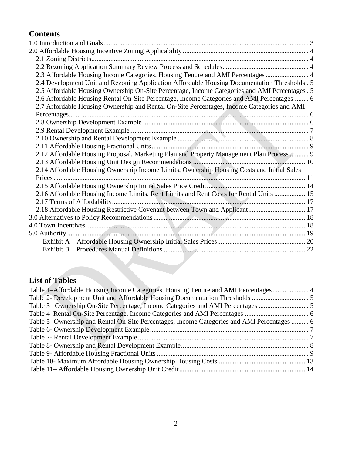# **Contents**

| 2.3 Affordable Housing Income Categories, Housing Tenure and AMI Percentages  4                |  |
|------------------------------------------------------------------------------------------------|--|
| 2.4 Development Unit and Rezoning Application Affordable Housing Documentation Thresholds 5    |  |
| 2.5 Affordable Housing Ownership On-Site Percentage, Income Categories and AMI Percentages . 5 |  |
| 2.6 Affordable Housing Rental On-Site Percentage, Income Categories and AMI Percentages  6     |  |
| 2.7 Affordable Housing Ownership and Rental On-Site Percentages, Income Categories and AMI     |  |
|                                                                                                |  |
|                                                                                                |  |
|                                                                                                |  |
|                                                                                                |  |
|                                                                                                |  |
| 2.12 Affordable Housing Proposal, Marketing Plan and Property Management Plan Process  9       |  |
|                                                                                                |  |
| 2.14 Affordable Housing Ownership Income Limits, Ownership Housing Costs and Initial Sales     |  |
|                                                                                                |  |
|                                                                                                |  |
| 2.16 Affordable Housing Income Limits, Rent Limits and Rent Costs for Rental Units  15         |  |
|                                                                                                |  |
|                                                                                                |  |
|                                                                                                |  |
|                                                                                                |  |
|                                                                                                |  |
|                                                                                                |  |
|                                                                                                |  |
|                                                                                                |  |

# **List of Tables**

| Table 1-Affordable Housing Income Categories, Housing Tenure and AMI Percentages 4          |  |
|---------------------------------------------------------------------------------------------|--|
|                                                                                             |  |
| Table 3– Ownership On-Site Percentage, Income Categories and AMI Percentages                |  |
|                                                                                             |  |
| Table 5- Ownership and Rental On-Site Percentages, Income Categories and AMI Percentages  6 |  |
|                                                                                             |  |
|                                                                                             |  |
|                                                                                             |  |
|                                                                                             |  |
|                                                                                             |  |
|                                                                                             |  |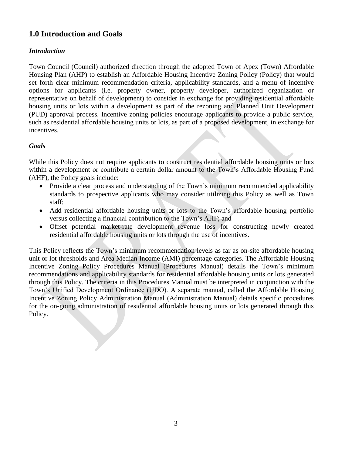# <span id="page-2-0"></span>**1.0 Introduction and Goals**

# *Introduction*

Town Council (Council) authorized direction through the adopted Town of Apex (Town) Affordable Housing Plan (AHP) to establish an Affordable Housing Incentive Zoning Policy (Policy) that would set forth clear minimum recommendation criteria, applicability standards, and a menu of incentive options for applicants (i.e. property owner, property developer, authorized organization or representative on behalf of development) to consider in exchange for providing residential affordable housing units or lots within a development as part of the rezoning and Planned Unit Development (PUD) approval process. Incentive zoning policies encourage applicants to provide a public service, such as residential affordable housing units or lots, as part of a proposed development, in exchange for incentives.

# *Goals*

While this Policy does not require applicants to construct residential affordable housing units or lots within a development or contribute a certain dollar amount to the Town's Affordable Housing Fund (AHF), the Policy goals include:

- Provide a clear process and understanding of the Town's minimum recommended applicability standards to prospective applicants who may consider utilizing this Policy as well as Town staff;
- Add residential affordable housing units or lots to the Town's affordable housing portfolio versus collecting a financial contribution to the Town's AHF; and
- Offset potential market-rate development revenue loss for constructing newly created residential affordable housing units or lots through the use of incentives.

This Policy reflects the Town's minimum recommendation levels as far as on-site affordable housing unit or lot thresholds and Area Median Income (AMI) percentage categories. The Affordable Housing Incentive Zoning Policy Procedures Manual (Procedures Manual) details the Town's minimum recommendations and applicability standards for residential affordable housing units or lots generated through this Policy. The criteria in this Procedures Manual must be interpreted in conjunction with the Town's Unified Development Ordinance (UDO). A separate manual, called the Affordable Housing Incentive Zoning Policy Administration Manual (Administration Manual) details specific procedures for the on-going administration of residential affordable housing units or lots generated through this Policy.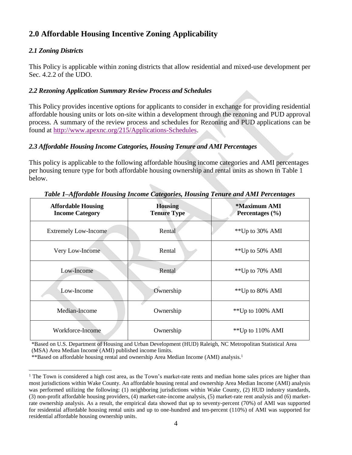# <span id="page-3-0"></span>**2.0 Affordable Housing Incentive Zoning Applicability**

# <span id="page-3-1"></span>*2.1 Zoning Districts*

 $\overline{a}$ 

This Policy is applicable within zoning districts that allow residential and mixed-use development per Sec. 4.2.2 of the UDO.

# <span id="page-3-2"></span>*2.2 Rezoning Application Summary Review Process and Schedules*

This Policy provides incentive options for applicants to consider in exchange for providing residential affordable housing units or lots on-site within a development through the rezoning and PUD approval process. A summary of the review process and schedules for Rezoning and PUD applications can be found at [http://www.apexnc.org/215/Applications-Schedules.](http://www.apexnc.org/215/Applications-Schedules)

# <span id="page-3-3"></span>*2.3 Affordable Housing Income Categories, Housing Tenure and AMI Percentages*

This policy is applicable to the following affordable housing income categories and AMI percentages per housing tenure type for both affordable housing ownership and rental units as shown in Table 1 below.

<span id="page-3-4"></span>

| <b>Affordable Housing</b><br><b>Income Category</b> | <b>Housing</b><br><b>Tenure Type</b> | *Maximum AMI<br>Percentages (%) |
|-----------------------------------------------------|--------------------------------------|---------------------------------|
| <b>Extremely Low-Income</b>                         | Rental                               | **Up to 30% AMI                 |
| Very Low-Income                                     | Rental                               | **Up to 50% AMI                 |
| Low-Income                                          | Rental                               | **Up to 70% AMI                 |
| Low-Income                                          | Ownership                            | **Up to 80% AMI                 |
| Median-Income                                       | Ownership                            | ** Up to 100% AMI               |
| Workforce-Income                                    | Ownership                            | **Up to $110\%$ AMI             |

*Table 1–Affordable Housing Income Categories, Housing Tenure and AMI Percentages*

\*Based on U.S. Department of Housing and Urban Development (HUD) Raleigh, NC Metropolitan Statistical Area (MSA) Area Median Income (AMI) published income limits.

\*\*Based on affordable housing rental and ownership Area Median Income (AMI) analysis.<sup>1</sup>

 $<sup>1</sup>$  The Town is considered a high cost area, as the Town's market-rate rents and median home sales prices are higher than</sup> most jurisdictions within Wake County. An affordable housing rental and ownership Area Median Income (AMI) analysis was performed utilizing the following: (1) neighboring jurisdictions within Wake County, (2) HUD industry standards, (3) non-profit affordable housing providers, (4) market-rate-income analysis, (5) market-rate rent analysis and (6) marketrate ownership analysis. As a result, the empirical data showed that up to seventy-percent (70%) of AMI was supported for residential affordable housing rental units and up to one-hundred and ten-percent (110%) of AMI was supported for residential affordable housing ownership units.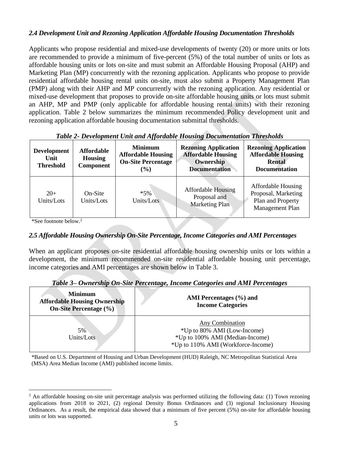#### <span id="page-4-0"></span>*2.4 Development Unit and Rezoning Application Affordable Housing Documentation Thresholds*

Applicants who propose residential and mixed-use developments of twenty (20) or more units or lots are recommended to provide a minimum of five-percent (5%) of the total number of units or lots as affordable housing units or lots on-site and must submit an Affordable Housing Proposal (AHP) and Marketing Plan (MP) concurrently with the rezoning application. Applicants who propose to provide residential affordable housing rental units on-site, must also submit a Property Management Plan (PMP) along with their AHP and MP concurrently with the rezoning application. Any residential or mixed-use development that proposes to provide on-site affordable housing units or lots must submit an AHP, MP and PMP (only applicable for affordable housing rental units) with their rezoning application. Table 2 below summarizes the minimum recommended Policy development unit and rezoning application affordable housing documentation submittal thresholds.

<span id="page-4-2"></span>

| <b>Development</b><br>Unit<br><b>Threshold</b> | <b>Affordable</b><br><b>Housing</b><br><b>Component</b> | <br><b>Minimum</b><br><b>Affordable Housing</b><br><b>On-Site Percentage</b><br>$\frac{9}{6}$ | <b>Rezoning Application</b><br><b>Affordable Housing</b><br>Ownership<br><b>Documentation</b> | <b>Rezoning Application</b><br><b>Affordable Housing</b><br><b>Rental</b><br><b>Documentation</b> |
|------------------------------------------------|---------------------------------------------------------|-----------------------------------------------------------------------------------------------|-----------------------------------------------------------------------------------------------|---------------------------------------------------------------------------------------------------|
| $20+$<br>Units/Lots                            | On-Site<br>Units/Lots                                   | $*5\%$<br>Units/Lots                                                                          | <b>Affordable Housing</b><br>Proposal and<br><b>Marketing Plan</b>                            | <b>Affordable Housing</b><br>Proposal, Marketing<br>Plan and Property<br>Management Plan          |

*Table 2- Development Unit and Affordable Housing Documentation Thresholds*

\*See footnote below. 2

 $\overline{a}$ 

# <span id="page-4-1"></span>*2.5 Affordable Housing Ownership On-Site Percentage, Income Categories and AMI Percentages*

When an applicant proposes on-site residential affordable housing ownership units or lots within a development, the minimum recommended on-site residential affordable housing unit percentage, income categories and AMI percentages are shown below in Table 3.

|  | Table 3- Ownership On-Site Percentage, Income Categories and AMI Percentages |
|--|------------------------------------------------------------------------------|
|  |                                                                              |

<span id="page-4-3"></span>

| <b>Minimum</b><br><b>Affordable Housing Ownership</b><br><b>On-Site Percentage</b> $(\%)$ | AMI Percentages $(\% )$ and<br><b>Income Categories</b>                                                                 |
|-------------------------------------------------------------------------------------------|-------------------------------------------------------------------------------------------------------------------------|
| 5%<br>Units/Lots                                                                          | Any Combination<br>*Up to 80% AMI (Low-Income)<br>*Up to 100% AMI (Median-Income)<br>*Up to 110% AMI (Workforce-Income) |

\*Based on U.S. Department of Housing and Urban Development (HUD) Raleigh, NC Metropolitan Statistical Area (MSA) Area Median Income (AMI) published income limits.

 $2$  An affordable housing on-site unit percentage analysis was performed utilizing the following data: (1) Town rezoning applications from 2018 to 2021, (2) regional Density Bonus Ordinances and (3) regional Inclusionary Housing Ordinances. As a result, the empirical data showed that a minimum of five percent (5%) on-site for affordable housing units or lots was supported.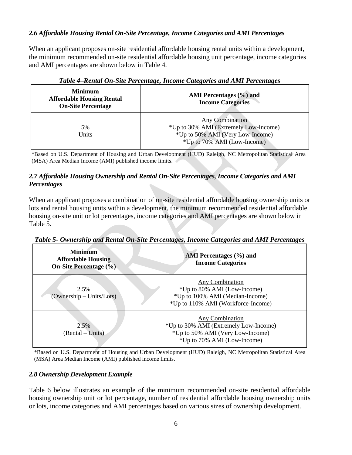# <span id="page-5-0"></span>*2.6 Affordable Housing Rental On-Site Percentage, Income Categories and AMI Percentages*

When an applicant proposes on-site residential affordable housing rental units within a development, the minimum recommended on-site residential affordable housing unit percentage, income categories and AMI percentages are shown below in Table 4.

<span id="page-5-3"></span>

| <b>Minimum</b><br><b>Affordable Housing Rental</b><br><b>On-Site Percentage</b> | AMI Percentages (%) and<br><b>Income Categories</b>                                                                                |
|---------------------------------------------------------------------------------|------------------------------------------------------------------------------------------------------------------------------------|
| 5%<br>Units                                                                     | <b>Any Combination</b><br>*Up to 30% AMI (Extremely Low-Income)<br>*Up to 50% AMI (Very Low-Income)<br>*Up to 70% AMI (Low-Income) |

*Table 4–Rental On-Site Percentage, Income Categories and AMI Percentages*

\*Based on U.S. Department of Housing and Urban Development (HUD) Raleigh, NC Metropolitan Statistical Area (MSA) Area Median Income (AMI) published income limits.

# <span id="page-5-1"></span>*2.7 Affordable Housing Ownership and Rental On-Site Percentages, Income Categories and AMI Percentages*

When an applicant proposes a combination of on-site residential affordable housing ownership units or lots and rental housing units within a development, the minimum recommended residential affordable housing on-site unit or lot percentages, income categories and AMI percentages are shown below in Table 5.

<span id="page-5-4"></span>

| Table 5- Ownership and Rental On-Site Percentages, Income Categories and AMI Percentages |
|------------------------------------------------------------------------------------------|
|------------------------------------------------------------------------------------------|

| <b>Minimum</b><br><b>Affordable Housing</b><br><b>On-Site Percentage (%)</b> |                                    | AMI Percentages (%) and<br><b>Income Categories</b>                                                                            |  |  |
|------------------------------------------------------------------------------|------------------------------------|--------------------------------------------------------------------------------------------------------------------------------|--|--|
|                                                                              | 2.5%<br>$(Ownership - Units/Lots)$ | <b>Any Combination</b><br>*Up to 80% AMI (Low-Income)<br>*Up to 100% AMI (Median-Income)<br>*Up to 110% AMI (Workforce-Income) |  |  |
|                                                                              | 2.5%<br>(Rental – Units)           | Any Combination<br>*Up to 30% AMI (Extremely Low-Income)<br>*Up to 50% AMI (Very Low-Income)<br>*Up to 70% AMI (Low-Income)    |  |  |

\*Based on U.S. Department of Housing and Urban Development (HUD) Raleigh, NC Metropolitan Statistical Area (MSA) Area Median Income (AMI) published income limits.

# <span id="page-5-2"></span>*2.8 Ownership Development Example*

Table 6 below illustrates an example of the minimum recommended on-site residential affordable housing ownership unit or lot percentage, number of residential affordable housing ownership units or lots, income categories and AMI percentages based on various sizes of ownership development.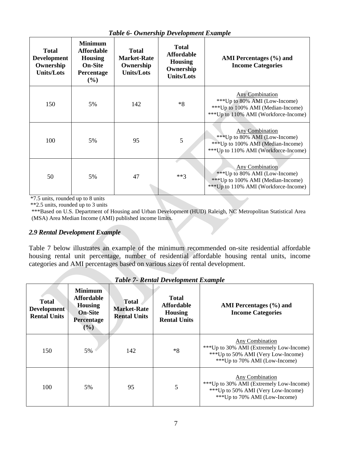<span id="page-6-1"></span>

| raone o chinersing Derengment Brandpie                               |                                                                                              |                                                                      |                                                                                       |                                                                                                                                        |
|----------------------------------------------------------------------|----------------------------------------------------------------------------------------------|----------------------------------------------------------------------|---------------------------------------------------------------------------------------|----------------------------------------------------------------------------------------------------------------------------------------|
| <b>Total</b><br><b>Development</b><br>Ownership<br><b>Units/Lots</b> | <b>Minimum</b><br><b>Affordable</b><br><b>Housing</b><br><b>On-Site</b><br>Percentage<br>(%) | <b>Total</b><br><b>Market-Rate</b><br>Ownership<br><b>Units/Lots</b> | <b>Total</b><br><b>Affordable</b><br><b>Housing</b><br>Ownership<br><b>Units/Lots</b> | AMI Percentages (%) and<br><b>Income Categories</b>                                                                                    |
| 150                                                                  | 5%                                                                                           | 142                                                                  | $*8$                                                                                  | Any Combination<br>***Up to 80% AMI (Low-Income)<br>*** Up to 100% AMI (Median-Income)<br>*** Up to 110% AMI (Workforce-Income)        |
| 100                                                                  | 5%                                                                                           | 95                                                                   | 5                                                                                     | <b>Any Combination</b><br>***Up to 80% AMI (Low-Income)<br>*** Up to 100% AMI (Median-Income)<br>*** Up to 110% AMI (Workforce-Income) |
| 50                                                                   | 5%                                                                                           | 47                                                                   | $***3$                                                                                | Any Combination<br>*** Up to 80% AMI (Low-Income)<br>*** Up to 100% AMI (Median-Income)<br>*** Up to 110% AMI (Workforce-Income)       |

*Table 6- Ownership Development Example*

\*7.5 units, rounded up to 8 units

\*\*2.5 units, rounded up to 3 units

\*\*\*Based on U.S. Department of Housing and Urban Development (HUD) Raleigh, NC Metropolitan Statistical Area (MSA) Area Median Income (AMI) published income limits.

# <span id="page-6-0"></span>*2.9 Rental Development Example*

Table 7 below illustrates an example of the minimum recommended on-site residential affordable housing rental unit percentage, number of residential affordable housing rental units, income categories and AMI percentages based on various sizes of rental development.

<span id="page-6-2"></span>

| <b>Total</b><br>Development<br><b>Rental Units</b> | <b>Minimum</b><br><b>Affordable</b><br><b>Housing</b><br><b>On-Site</b><br><b>Percentage</b><br>$($ %) | <b>Total</b><br><b>Market-Rate</b><br><b>Rental Units</b> | <b>Total</b><br><b>Affordable</b><br><b>Housing</b><br><b>Rental Units</b> | AMI Percentages (%) and<br><b>Income Categories</b>                                                                                        |
|----------------------------------------------------|--------------------------------------------------------------------------------------------------------|-----------------------------------------------------------|----------------------------------------------------------------------------|--------------------------------------------------------------------------------------------------------------------------------------------|
| 150                                                | 5%                                                                                                     | 142                                                       | $*8$                                                                       | <b>Any Combination</b><br>***Up to 30% AMI (Extremely Low-Income)<br>***Up to 50% AMI (Very Low-Income)<br>***Up to 70% AMI (Low-Income)   |
| 100                                                | 5%                                                                                                     | 95                                                        | 5                                                                          | <b>Any Combination</b><br>*** Up to 30% AMI (Extremely Low-Income)<br>*** Up to 50% AMI (Very Low-Income)<br>***Up to 70% AMI (Low-Income) |

*Table 7- Rental Development Example*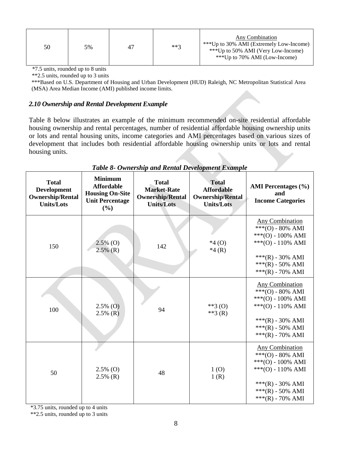| 50 | 5% | 47 | $***3$ | Any Combination<br>***Up to 30% AMI (Extremely Low-Income)<br>***Up to 50% AMI (Very Low-Income)<br>***Up to 70% AMI (Low-Income) |
|----|----|----|--------|-----------------------------------------------------------------------------------------------------------------------------------|
|----|----|----|--------|-----------------------------------------------------------------------------------------------------------------------------------|

\*7.5 units, rounded up to 8 units

\*\*2.5 units, rounded up to 3 units

\*\*\*Based on U.S. Department of Housing and Urban Development (HUD) Raleigh, NC Metropolitan Statistical Area (MSA) Area Median Income (AMI) published income limits.

#### <span id="page-7-0"></span>*2.10 Ownership and Rental Development Example*

Table 8 below illustrates an example of the minimum recommended on-site residential affordable housing ownership and rental percentages, number of residential affordable housing ownership units or lots and rental housing units, income categories and AMI percentages based on various sizes of development that includes both residential affordable housing ownership units or lots and rental housing units.

<span id="page-7-1"></span>

| <b>Total</b><br><b>Development</b><br><b>Ownership/Rental</b><br><b>Units/Lots</b> | <b>Minimum</b><br><b>Affordable</b><br><b>Housing On-Site</b><br><b>Unit Percentage</b><br>(%) | <b>Total</b><br><b>Market-Rate</b><br><b>Ownership/Rental</b><br><b>Units/Lots</b> | <b>Total</b><br><b>Affordable</b><br><b>Ownership/Rental</b><br><b>Units/Lots</b> | <b>AMI</b> Percentages (%)<br>and<br><b>Income Categories</b>                                                                                                      |
|------------------------------------------------------------------------------------|------------------------------------------------------------------------------------------------|------------------------------------------------------------------------------------|-----------------------------------------------------------------------------------|--------------------------------------------------------------------------------------------------------------------------------------------------------------------|
| 150                                                                                | $2.5\%$ (O)<br>$2.5\%$ (R)                                                                     | 142                                                                                | $*4(0)$<br>$*4(R)$                                                                | <b>Any Combination</b><br>$***(O) - 80\%$ AMI<br>$***(O) - 100\%$ AMI<br>***(O) - 110% AMI<br>$***$ (R) - 30% AMI<br>$***$ (R) - 50% AMI<br>$***(R) - 70\%$ AMI    |
| 100                                                                                | $2.5\%$ (O)<br>$2.5\%$ (R)                                                                     | 94                                                                                 | $**3(0)$<br>**3 $(R)$                                                             | <b>Any Combination</b><br>$***(O) - 80\%$ AMI<br>$***(O) - 100\%$ AMI<br>$***(O) - 110\%$ AMI<br>$***(R) - 30\%$ AMI<br>$***$ (R) - 50% AMI<br>$***(R) - 70\%$ AMI |
| 50                                                                                 | $2.5\%$ (O)<br>$2.5\%$ (R)                                                                     | 48                                                                                 | 1(0)<br>1(R)                                                                      | <b>Any Combination</b><br>$***(O) - 80\%$ AMI<br>$***(O) - 100\%$ AMI<br>***(O) - 110% AMI<br>***(R) - 30% AMI<br>***(R) - 50% AMI<br>***(R) - 70% AMI             |

*Table 8- Ownership and Rental Development Example*

\*3.75 units, rounded up to 4 units

\*\*2.5 units, rounded up to 3 units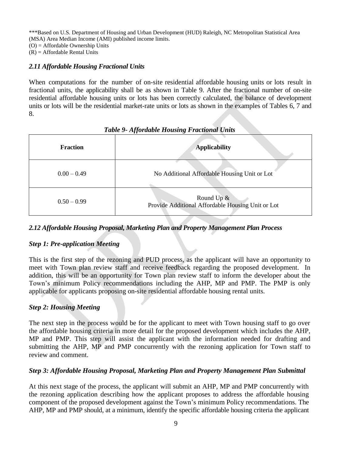\*\*\*Based on U.S. Department of Housing and Urban Development (HUD) Raleigh, NC Metropolitan Statistical Area (MSA) Area Median Income (AMI) published income limits. (O) = Affordable Ownership Units

 $(R)$  = Affordable Rental Units

# <span id="page-8-0"></span>*2.11 Affordable Housing Fractional Units*

When computations for the number of on-site residential affordable housing units or lots result in fractional units, the applicability shall be as shown in Table 9. After the fractional number of on-site residential affordable housing units or lots has been correctly calculated, the balance of development units or lots will be the residential market-rate units or lots as shown in the examples of Tables 6, 7 and 8.

<span id="page-8-2"></span>

| <b>Fraction</b> | <b>Applicability</b>                                               |
|-----------------|--------------------------------------------------------------------|
| $0.00 - 0.49$   | No Additional Affordable Housing Unit or Lot                       |
| $0.50 - 0.99$   | Round Up $\&$<br>Provide Additional Affordable Housing Unit or Lot |

# *Table 9- Affordable Housing Fractional Units*

# <span id="page-8-1"></span>*2.12 Affordable Housing Proposal, Marketing Plan and Property Management Plan Process*

# *Step 1: Pre-application Meeting*

This is the first step of the rezoning and PUD process, as the applicant will have an opportunity to meet with Town plan review staff and receive feedback regarding the proposed development. In addition, this will be an opportunity for Town plan review staff to inform the developer about the Town's minimum Policy recommendations including the AHP, MP and PMP. The PMP is only applicable for applicants proposing on-site residential affordable housing rental units.

# *Step 2: Housing Meeting*

The next step in the process would be for the applicant to meet with Town housing staff to go over the affordable housing criteria in more detail for the proposed development which includes the AHP, MP and PMP. This step will assist the applicant with the information needed for drafting and submitting the AHP, MP and PMP concurrently with the rezoning application for Town staff to review and comment.

# *Step 3: Affordable Housing Proposal, Marketing Plan and Property Management Plan Submittal*

At this next stage of the process, the applicant will submit an AHP, MP and PMP concurrently with the rezoning application describing how the applicant proposes to address the affordable housing component of the proposed development against the Town's minimum Policy recommendations. The AHP, MP and PMP should, at a minimum, identify the specific affordable housing criteria the applicant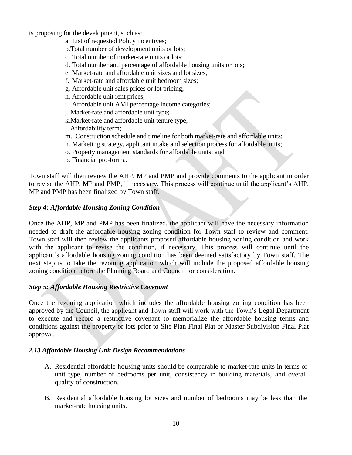is proposing for the development, such as:

- a. List of requested Policy incentives;
- b.Total number of development units or lots;
- c. Total number of market-rate units or lots;
- d. Total number and percentage of affordable housing units or lots;
- e. Market-rate and affordable unit sizes and lot sizes;
- f. Market-rate and affordable unit bedroom sizes;
- g. Affordable unit sales prices or lot pricing;
- h. Affordable unit rent prices;
- i. Affordable unit AMI percentage income categories;
- j. Market-rate and affordable unit type;
- k.Market-rate and affordable unit tenure type;
- l. Affordability term;
- m. Construction schedule and timeline for both market-rate and affordable units;
- n. Marketing strategy, applicant intake and selection process for affordable units;
- o. Property management standards for affordable units; and
- p. Financial pro-forma.

Town staff will then review the AHP, MP and PMP and provide comments to the applicant in order to revise the AHP, MP and PMP, if necessary. This process will continue until the applicant's AHP, MP and PMP has been finalized by Town staff.

#### *Step 4: Affordable Housing Zoning Condition*

Once the AHP, MP and PMP has been finalized, the applicant will have the necessary information needed to draft the affordable housing zoning condition for Town staff to review and comment. Town staff will then review the applicants proposed affordable housing zoning condition and work with the applicant to revise the condition, if necessary. This process will continue until the applicant's affordable housing zoning condition has been deemed satisfactory by Town staff. The next step is to take the rezoning application which will include the proposed affordable housing zoning condition before the Planning Board and Council for consideration.

# *Step 5: Affordable Housing Restrictive Covenant*

Once the rezoning application which includes the affordable housing zoning condition has been approved by the Council, the applicant and Town staff will work with the Town's Legal Department to execute and record a restrictive covenant to memorialize the affordable housing terms and conditions against the property or lots prior to Site Plan Final Plat or Master Subdivision Final Plat approval.

# <span id="page-9-0"></span>*2.13 Affordable Housing Unit Design Recommendations*

- A. Residential affordable housing units should be comparable to market-rate units in terms of unit type, number of bedrooms per unit, consistency in building materials, and overall quality of construction.
- B. Residential affordable housing lot sizes and number of bedrooms may be less than the market-rate housing units.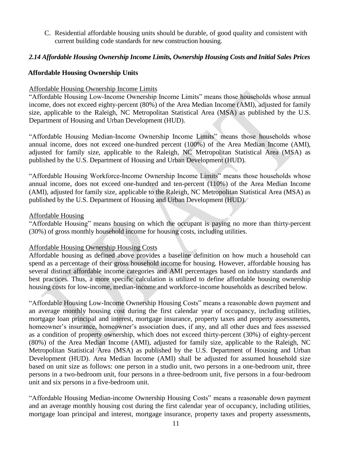C. Residential affordable housing units should be durable, of good quality and consistent with current building code standards for new construction housing.

#### <span id="page-10-0"></span>*2.14 Affordable Housing Ownership Income Limits, Ownership Housing Costs and Initial Sales Prices*

#### **Affordable Housing Ownership Units**

#### Affordable Housing Ownership Income Limits

"Affordable Housing Low-Income Ownership Income Limits" means those households whose annual income, does not exceed eighty-percent (80%) of the Area Median Income (AMI), adjusted for family size, applicable to the Raleigh, NC Metropolitan Statistical Area (MSA) as published by the U.S. Department of Housing and Urban Development (HUD).

"Affordable Housing Median-Income Ownership Income Limits" means those households whose annual income, does not exceed one-hundred percent (100%) of the Area Median Income (AMI), adjusted for family size, applicable to the Raleigh, NC Metropolitan Statistical Area (MSA) as published by the U.S. Department of Housing and Urban Development (HUD).

"Affordable Housing Workforce-Income Ownership Income Limits" means those households whose annual income, does not exceed one-hundred and ten-percent (110%) of the Area Median Income (AMI), adjusted for family size, applicable to the Raleigh, NC Metropolitan Statistical Area (MSA) as published by the U.S. Department of Housing and Urban Development (HUD).

#### Affordable Housing

"Affordable Housing" means housing on which the occupant is paying no more than thirty-percent (30%) of gross monthly household income for housing costs, including utilities.

# Affordable Housing Ownership Housing Costs

Affordable housing as defined above provides a baseline definition on how much a household can spend as a percentage of their gross household income for housing. However, affordable housing has several distinct affordable income categories and AMI percentages based on industry standards and best practices. Thus, a more specific calculation is utilized to define affordable housing ownership housing costs for low-income, median-income and workforce-income households as described below.

"Affordable Housing Low-Income Ownership Housing Costs" means a reasonable down payment and an average monthly housing cost during the first calendar year of occupancy, including utilities, mortgage loan principal and interest, mortgage insurance, property taxes and property assessments, homeowner's insurance, homeowner's association dues, if any, and all other dues and fees assessed as a condition of property ownership, which does not exceed thirty-percent (30%) of eighty-percent (80%) of the Area Median Income (AMI), adjusted for family size, applicable to the Raleigh, NC Metropolitan Statistical Area (MSA) as published by the U.S. Department of Housing and Urban Development (HUD). Area Median Income (AMI) shall be adjusted for assumed household size based on unit size as follows: one person in a studio unit, two persons in a one-bedroom unit, three persons in a two-bedroom unit, four persons in a three-bedroom unit, five persons in a four-bedroom unit and six persons in a five-bedroom unit.

"Affordable Housing Median-income Ownership Housing Costs" means a reasonable down payment and an average monthly housing cost during the first calendar year of occupancy, including utilities, mortgage loan principal and interest, mortgage insurance, property taxes and property assessments,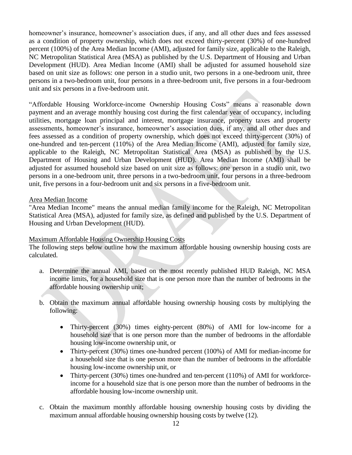homeowner's insurance, homeowner's association dues, if any, and all other dues and fees assessed as a condition of property ownership, which does not exceed thirty-percent (30%) of one-hundred percent (100%) of the Area Median Income (AMI), adjusted for family size, applicable to the Raleigh, NC Metropolitan Statistical Area (MSA) as published by the U.S. Department of Housing and Urban Development (HUD). Area Median Income (AMI) shall be adjusted for assumed household size based on unit size as follows: one person in a studio unit, two persons in a one-bedroom unit, three persons in a two-bedroom unit, four persons in a three-bedroom unit, five persons in a four-bedroom unit and six persons in a five-bedroom unit.

"Affordable Housing Workforce-income Ownership Housing Costs" means a reasonable down payment and an average monthly housing cost during the first calendar year of occupancy, including utilities, mortgage loan principal and interest, mortgage insurance, property taxes and property assessments, homeowner's insurance, homeowner's association dues, if any, and all other dues and fees assessed as a condition of property ownership, which does not exceed thirty-percent (30%) of one-hundred and ten-percent (110%) of the Area Median Income (AMI), adjusted for family size, applicable to the Raleigh, NC Metropolitan Statistical Area (MSA) as published by the U.S. Department of Housing and Urban Development (HUD). Area Median Income (AMI) shall be adjusted for assumed household size based on unit size as follows: one person in a studio unit, two persons in a one-bedroom unit, three persons in a two-bedroom unit, four persons in a three-bedroom unit, five persons in a four-bedroom unit and six persons in a five-bedroom unit.

#### Area Median Income

"Area Median Income" means the annual median family income for the Raleigh, NC Metropolitan Statistical Area (MSA), adjusted for family size, as defined and published by the U.S. Department of Housing and Urban Development (HUD).

# Maximum Affordable Housing Ownership Housing Costs

The following steps below outline how the maximum affordable housing ownership housing costs are calculated.

- a. Determine the annual AMI, based on the most recently published HUD Raleigh, NC MSA income limits, for a household size that is one person more than the number of bedrooms in the affordable housing ownership unit;
- b. Obtain the maximum annual affordable housing ownership housing costs by multiplying the following:
	- Thirty-percent (30%) times eighty-percent (80%) of AMI for low-income for a household size that is one person more than the number of bedrooms in the affordable housing low-income ownership unit, or
	- Thirty-percent (30%) times one-hundred percent (100%) of AMI for median-income for a household size that is one person more than the number of bedrooms in the affordable housing low-income ownership unit, or
	- Thirty-percent (30%) times one-hundred and ten-percent (110%) of AMI for workforceincome for a household size that is one person more than the number of bedrooms in the affordable housing low-income ownership unit.
- c. Obtain the maximum monthly affordable housing ownership housing costs by dividing the maximum annual affordable housing ownership housing costs by twelve (12).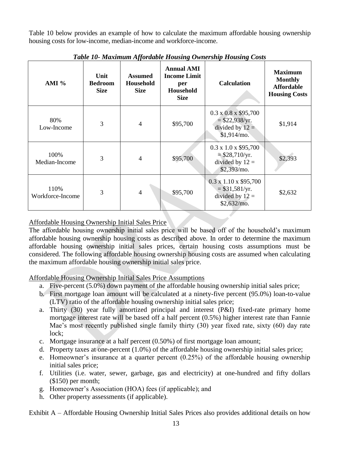<span id="page-12-0"></span>Table 10 below provides an example of how to calculate the maximum affordable housing ownership housing costs for low-income, median-income and workforce-income.

| AMI $%$                  | Unit<br><b>Bedroom</b><br><b>Size</b> | <b>Assumed</b><br>Household<br><b>Size</b> | <b>Annual AMI</b><br><b>Income Limit</b><br>per<br>Household<br><b>Size</b> | <b>Calculation</b>                                                                         | <b>Maximum</b><br><b>Monthly</b><br><b>Affordable</b><br><b>Housing Costs</b> |
|--------------------------|---------------------------------------|--------------------------------------------|-----------------------------------------------------------------------------|--------------------------------------------------------------------------------------------|-------------------------------------------------------------------------------|
| 80%<br>Low-Income        | 3                                     | $\overline{4}$                             | \$95,700                                                                    | $0.3 \times 0.8 \times $95,700$<br>$=$ \$22,938/yr.<br>divided by $12 =$<br>$$1,914/mol$ . | \$1,914                                                                       |
| 100%<br>Median-Income    | 3                                     | $\overline{4}$                             | \$95,700                                                                    | $0.3 \times 1.0 \times $95,700$<br>$=$ \$28,710/yr.<br>divided by $12 =$<br>\$2,393/mo.    | \$2,393                                                                       |
| 110%<br>Workforce-Income | 3                                     | $\overline{4}$                             | \$95,700                                                                    | $0.3 \times 1.10 \times $95,700$<br>$= $31,581/yr.$<br>divided by $12 =$<br>\$2,632/m0.    | \$2,632                                                                       |

*Table 10- Maximum Affordable Housing Ownership Housing Costs*

# Affordable Housing Ownership Initial Sales Price

The affordable housing ownership initial sales price will be based off of the household's maximum affordable housing ownership housing costs as described above. In order to determine the maximum affordable housing ownership initial sales prices, certain housing costs assumptions must be considered. The following affordable housing ownership housing costs are assumed when calculating the maximum affordable housing ownership initial sales price.

Affordable Housing Ownership Initial Sales Price Assumptions

- a. Five-percent (5.0%) down payment of the affordable housing ownership initial sales price;
- b. First mortgage loan amount will be calculated at a ninety-five percent (95.0%) loan-to-value (LTV) ratio of the affordable housing ownership initial sales price;
- a. Thirty (30) year fully amortized principal and interest (P&I) fixed-rate primary home mortgage interest rate will be based off a half percent (0.5%) higher interest rate than Fannie Mae's most recently published single family thirty (30) year fixed rate, sixty (60) day rate lock;
- c. Mortgage insurance at a half percent (0.50%) of first mortgage loan amount;
- d. Property taxes at one-percent (1.0%) of the affordable housing ownership initial sales price;
- e. Homeowner's insurance at a quarter percent (0.25%) of the affordable housing ownership initial sales price;
- f. Utilities (i.e. water, sewer, garbage, gas and electricity) at one-hundred and fifty dollars (\$150) per month;
- g. Homeowner's Association (HOA) fees (if applicable); and
- h. Other property assessments (if applicable).

Exhibit A – Affordable Housing Ownership Initial Sales Prices also provides additional details on how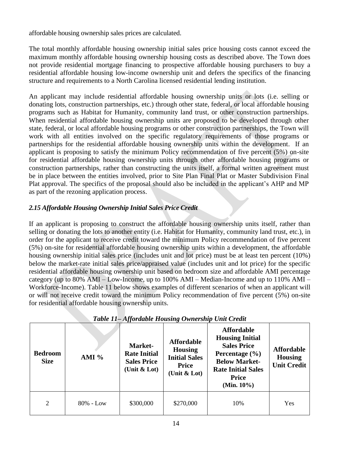affordable housing ownership sales prices are calculated.

The total monthly affordable housing ownership initial sales price housing costs cannot exceed the maximum monthly affordable housing ownership housing costs as described above. The Town does not provide residential mortgage financing to prospective affordable housing purchasers to buy a residential affordable housing low-income ownership unit and defers the specifics of the financing structure and requirements to a North Carolina licensed residential lending institution.

An applicant may include residential affordable housing ownership units or lots (i.e. selling or donating lots, construction partnerships, etc.) through other state, federal, or local affordable housing programs such as Habitat for Humanity, community land trust, or other construction partnerships. When residential affordable housing ownership units are proposed to be developed through other state, federal, or local affordable housing programs or other construction partnerships, the Town will work with all entities involved on the specific regulatory requirements of those programs or partnerships for the residential affordable housing ownership units within the development. If an applicant is proposing to satisfy the minimum Policy recommendation of five percent (5%) on-site for residential affordable housing ownership units through other affordable housing programs or construction partnerships, rather than constructing the units itself, a formal written agreement must be in place between the entities involved, prior to Site Plan Final Plat or Master Subdivision Final Plat approval. The specifics of the proposal should also be included in the applicant's AHP and MP as part of the rezoning application process.

# <span id="page-13-0"></span>*2.15 Affordable Housing Ownership Initial Sales Price Credit*

If an applicant is proposing to construct the affordable housing ownership units itself, rather than selling or donating the lots to another entity (i.e. Habitat for Humanity, community land trust, etc.), in order for the applicant to receive credit toward the minimum Policy recommendation of five percent (5%) on-site for residential affordable housing ownership units within a development, the affordable housing ownership initial sales price (includes unit and lot price) must be at least ten percent (10%) below the market-rate initial sales price/appraised value (includes unit and lot price) for the specific residential affordable housing ownership unit based on bedroom size and affordable AMI percentage category (up to 80% AMI – Low-Income, up to 100% AMI – Median-Income and up to 110% AMI – Workforce-Income). Table 11 below shows examples of different scenarios of when an applicant will or will not receive credit toward the minimum Policy recommendation of five percent (5%) on-site for residential affordable housing ownership units.

<span id="page-13-1"></span>

| <b>Bedroom</b><br><b>Size</b> | AMI $%$      | Market-<br><b>Rate Initial</b><br><b>Sales Price</b><br>(Unit $&$ Lot) | <b>Affordable</b><br><b>Housing</b><br><b>Initial Sales</b><br><b>Price</b><br>(Unit $&$ Lot) | <b>Affordable</b><br><b>Housing Initial</b><br><b>Sales Price</b><br>Percentage $(\% )$<br><b>Below Market-</b><br><b>Rate Initial Sales</b><br><b>Price</b><br>(Min. $10\%$ ) | <b>Affordable</b><br><b>Housing</b><br><b>Unit Credit</b> |
|-------------------------------|--------------|------------------------------------------------------------------------|-----------------------------------------------------------------------------------------------|--------------------------------------------------------------------------------------------------------------------------------------------------------------------------------|-----------------------------------------------------------|
| 2                             | $80\%$ - Low | \$300,000                                                              | \$270,000                                                                                     | 10%                                                                                                                                                                            | <b>Yes</b>                                                |

# *Table 11– Affordable Housing Ownership Unit Credit*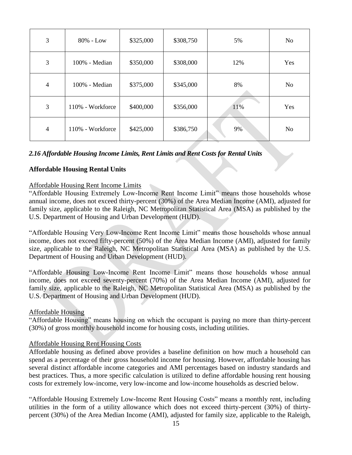| 3              | $80\%$ - Low     | \$325,000 | \$308,750 | 5%  | N <sub>o</sub> |
|----------------|------------------|-----------|-----------|-----|----------------|
| 3              | 100% - Median    | \$350,000 | \$308,000 | 12% | Yes            |
| $\overline{4}$ | $100\%$ - Median | \$375,000 | \$345,000 | 8%  | No             |
| 3              | 110% - Workforce | \$400,000 | \$356,000 | 11% | Yes            |
| $\overline{4}$ | 110% - Workforce | \$425,000 | \$386,750 | 9%  | No             |

# <span id="page-14-0"></span>*2.16 Affordable Housing Income Limits, Rent Limits and Rent Costs for Rental Units*

#### **Affordable Housing Rental Units**

#### Affordable Housing Rent Income Limits

"Affordable Housing Extremely Low-Income Rent Income Limit" means those households whose annual income, does not exceed thirty-percent (30%) of the Area Median Income (AMI), adjusted for family size, applicable to the Raleigh, NC Metropolitan Statistical Area (MSA) as published by the U.S. Department of Housing and Urban Development (HUD).

"Affordable Housing Very Low-Income Rent Income Limit" means those households whose annual income, does not exceed fifty-percent (50%) of the Area Median Income (AMI), adjusted for family size, applicable to the Raleigh, NC Metropolitan Statistical Area (MSA) as published by the U.S. Department of Housing and Urban Development (HUD).

"Affordable Housing Low-Income Rent Income Limit" means those households whose annual income, does not exceed seventy-percent (70%) of the Area Median Income (AMI), adjusted for family size, applicable to the Raleigh, NC Metropolitan Statistical Area (MSA) as published by the U.S. Department of Housing and Urban Development (HUD).

#### Affordable Housing

"Affordable Housing" means housing on which the occupant is paying no more than thirty-percent (30%) of gross monthly household income for housing costs, including utilities.

#### Affordable Housing Rent Housing Costs

Affordable housing as defined above provides a baseline definition on how much a household can spend as a percentage of their gross household income for housing. However, affordable housing has several distinct affordable income categories and AMI percentages based on industry standards and best practices. Thus, a more specific calculation is utilized to define affordable housing rent housing costs for extremely low-income, very low-income and low-income households as descried below.

"Affordable Housing Extremely Low-Income Rent Housing Costs" means a monthly rent, including utilities in the form of a utility allowance which does not exceed thirty-percent (30%) of thirtypercent (30%) of the Area Median Income (AMI), adjusted for family size, applicable to the Raleigh,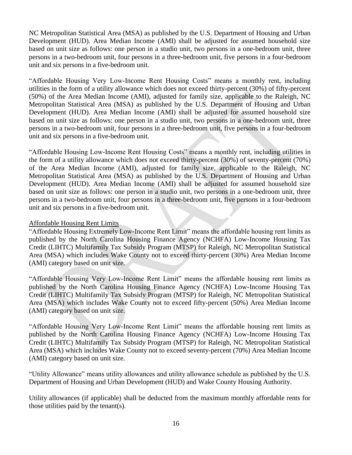NC Metropolitan Statistical Area (MSA) as published by the U.S. Department of Housing and Urban Development (HUD). Area Median Income (AMI) shall be adjusted for assumed household size based on unit size as follows: one person in a studio unit, two persons in a one-bedroom unit, three persons in a two-bedroom unit, four persons in a three-bedroom unit, five persons in a four-bedroom unit and six persons in a five-bedroom unit.

"Affordable Housing Very Low-Income Rent Housing Costs" means a monthly rent, including utilities in the form of a utility allowance which does not exceed thirty-percent (30%) of fifty-percent (50%) of the Area Median Income (AMI), adjusted for family size, applicable to the Raleigh, NC Metropolitan Statistical Area (MSA) as published by the U.S. Department of Housing and Urban Development (HUD). Area Median Income (AMI) shall be adjusted for assumed household size based on unit size as follows: one person in a studio unit, two persons in a one-bedroom unit, three persons in a two-bedroom unit, four persons in a three-bedroom unit, five persons in a four-bedroom unit and six persons in a five-bedroom unit.

"Affordable Housing Low-Income Rent Housing Costs" means a monthly rent, including utilities in the form of a utility allowance which does not exceed thirty-percent (30%) of seventy-percent (70%) of the Area Median Income (AMI), adjusted for family size, applicable to the Raleigh, NC Metropolitan Statistical Area (MSA) as published by the U.S. Department of Housing and Urban Development (HUD). Area Median Income (AMI) shall be adjusted for assumed household size based on unit size as follows: one person in a studio unit, two persons in a one-bedroom unit, three persons in a two-bedroom unit, four persons in a three-bedroom unit, five persons in a four-bedroom unit and six persons in a five-bedroom unit.

#### Affordable Housing Rent Limits

"Affordable Housing Extremely Low-Income Rent Limit" means the affordable housing rent limits as published by the North Carolina Housing Finance Agency (NCHFA) Low-Income Housing Tax Credit (LIHTC) Multifamily Tax Subsidy Program (MTSP) for Raleigh, NC Metropolitan Statistical Area (MSA) which includes Wake County not to exceed thirty-percent (30%) Area Median Income (AMI) category based on unit size.

"Affordable Housing Very Low-Income Rent Limit" means the affordable housing rent limits as published by the North Carolina Housing Finance Agency (NCHFA) Low-Income Housing Tax Credit (LIHTC) Multifamily Tax Subsidy Program (MTSP) for Raleigh, NC Metropolitan Statistical Area (MSA) which includes Wake County not to exceed fifty-percent (50%) Area Median Income (AMI) category based on unit size.

"Affordable Housing Very Low-Income Rent Limit" means the affordable housing rent limits as published by the North Carolina Housing Finance Agency (NCHFA) Low-Income Housing Tax Credit (LIHTC) Multifamily Tax Subsidy Program (MTSP) for Raleigh, NC Metropolitan Statistical Area (MSA) which includes Wake County not to exceed seventy-percent (70%) Area Median Income (AMI) category based on unit size.

"Utility Allowance" means utility allowances and utility allowance schedule as published by the U.S. Department of Housing and Urban Development (HUD) and Wake County Housing Authority.

Utility allowances (if applicable) shall be deducted from the maximum monthly affordable rents for those utilities paid by the tenant(s).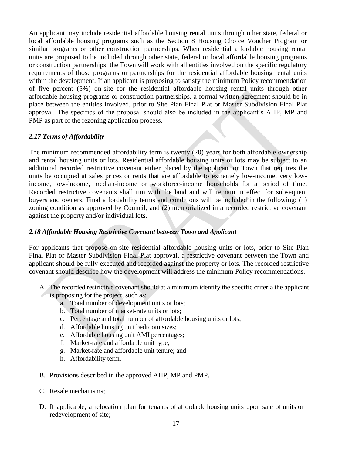An applicant may include residential affordable housing rental units through other state, federal or local affordable housing programs such as the Section 8 Housing Choice Voucher Program or similar programs or other construction partnerships. When residential affordable housing rental units are proposed to be included through other state, federal or local affordable housing programs or construction partnerships, the Town will work with all entities involved on the specific regulatory requirements of those programs or partnerships for the residential affordable housing rental units within the development. If an applicant is proposing to satisfy the minimum Policy recommendation of five percent (5%) on-site for the residential affordable housing rental units through other affordable housing programs or construction partnerships, a formal written agreement should be in place between the entities involved, prior to Site Plan Final Plat or Master Subdivision Final Plat approval. The specifics of the proposal should also be included in the applicant's AHP, MP and PMP as part of the rezoning application process.

#### <span id="page-16-0"></span>*2.17 Terms of Affordability*

The minimum recommended affordability term is twenty (20) years for both affordable ownership and rental housing units or lots. Residential affordable housing units or lots may be subject to an additional recorded restrictive covenant either placed by the applicant or Town that requires the units be occupied at sales prices or rents that are affordable to extremely low-income, very lowincome, low-income, median-income or workforce-income households for a period of time. Recorded restrictive covenants shall run with the land and will remain in effect for subsequent buyers and owners. Final affordability terms and conditions will be included in the following: (1) zoning condition as approved by Council, and (2) memorialized in a recorded restrictive covenant against the property and/or individual lots.

# <span id="page-16-1"></span>*2.18 Affordable Housing Restrictive Covenant between Town and Applicant*

For applicants that propose on-site residential affordable housing units or lots, prior to Site Plan Final Plat or Master Subdivision Final Plat approval, a restrictive covenant between the Town and applicant should be fully executed and recorded against the property or lots. The recorded restrictive covenant should describe how the development will address the minimum Policy recommendations.

- A. The recorded restrictive covenant should at a minimum identify the specific criteria the applicant
	- is proposing for the project, such as:
		- a. Total number of development units or lots;
		- b. Total number of market-rate units or lots;
		- c. Percentage and total number of affordable housing units or lots;
		- d. Affordable housing unit bedroom sizes;
		- e. Affordable housing unit AMI percentages;
		- f. Market-rate and affordable unit type;
		- g. Market-rate and affordable unit tenure; and
		- h. Affordability term.
- B. Provisions described in the approved AHP, MP and PMP.
- C. Resale mechanisms;
- D. If applicable, a relocation plan for tenants of affordable housing units upon sale of units or redevelopment of site;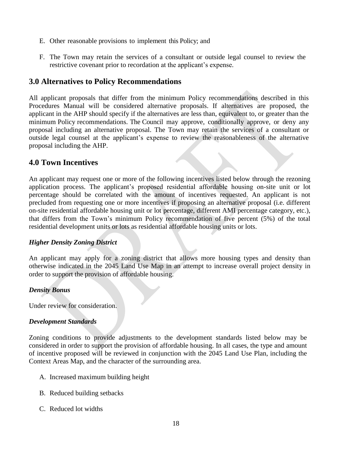- E. Other reasonable provisions to implement this Policy; and
- F. The Town may retain the services of a consultant or outside legal counsel to review the restrictive covenant prior to recordation at the applicant's expense.

# <span id="page-17-0"></span>**3.0 Alternatives to Policy Recommendations**

All applicant proposals that differ from the minimum Policy recommendations described in this Procedures Manual will be considered alternative proposals. If alternatives are proposed, the applicant in the AHP should specify if the alternatives are less than, equivalent to, or greater than the minimum Policy recommendations. The Council may approve, conditionally approve, or deny any proposal including an alternative proposal. The Town may retain the services of a consultant or outside legal counsel at the applicant's expense to review the reasonableness of the alternative proposal including the AHP.

# <span id="page-17-1"></span>**4.0 Town Incentives**

An applicant may request one or more of the following incentives listed below through the rezoning application process. The applicant's proposed residential affordable housing on-site unit or lot percentage should be correlated with the amount of incentives requested. An applicant is not precluded from requesting one or more incentives if proposing an alternative proposal (i.e. different on-site residential affordable housing unit or lot percentage, different AMI percentage category, etc.), that differs from the Town's minimum Policy recommendation of five percent (5%) of the total residential development units or lots as residential affordable housing units or lots.

# *Higher Density Zoning District*

An applicant may apply for a zoning district that allows more housing types and density than otherwise indicated in the 2045 Land Use Map in an attempt to increase overall project density in order to support the provision of affordable housing.

# *Density Bonus*

Under review for consideration.

#### *Development Standards*

Zoning conditions to provide adjustments to the development standards listed below may be considered in order to support the provision of affordable housing. In all cases, the type and amount of incentive proposed will be reviewed in conjunction with the 2045 Land Use Plan, including the Context Areas Map, and the character of the surrounding area.

- A. Increased maximum building height
- B. Reduced building setbacks
- C. Reduced lot widths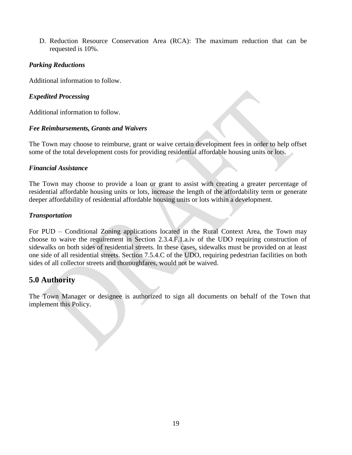D. Reduction Resource Conservation Area (RCA): The maximum reduction that can be requested is 10%.

#### *Parking Reductions*

Additional information to follow.

#### *Expedited Processing*

Additional information to follow.

#### *Fee Reimbursements, Grants and Waivers*

The Town may choose to reimburse, grant or waive certain development fees in order to help offset some of the total development costs for providing residential affordable housing units or lots.

#### *Financial Assistance*

The Town may choose to provide a loan or grant to assist with creating a greater percentage of residential affordable housing units or lots, increase the length of the affordability term or generate deeper affordability of residential affordable housing units or lots within a development.

#### *Transportation*

For PUD – Conditional Zoning applications located in the Rural Context Area, the Town may choose to waive the requirement in Section 2.3.4.F.1.a.iv of the UDO requiring construction of sidewalks on both sides of residential streets. In these cases, sidewalks must be provided on at least one side of all residential streets. Section 7.5.4.C of the UDO, requiring pedestrian facilities on both sides of all collector streets and thoroughfares, would not be waived.

# <span id="page-18-0"></span>**5.0 Authority**

The Town Manager or designee is authorized to sign all documents on behalf of the Town that implement this Policy.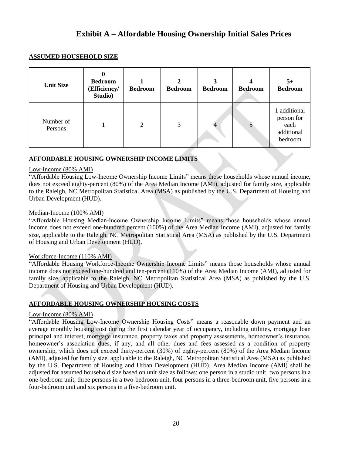# **Exhibit A – Affordable Housing Ownership Initial Sales Prices**

#### <span id="page-19-0"></span>**ASSUMED HOUSEHOLD SIZE**

| <b>Unit Size</b>     | <b>Bedroom</b><br>(Efficiency/<br>Studio) | <b>Bedroom</b> | <b>Bedroom</b> | 3<br><b>Bedroom</b> | 4<br><b>Bedroom</b> | $5+$<br><b>Bedroom</b>                                    |
|----------------------|-------------------------------------------|----------------|----------------|---------------------|---------------------|-----------------------------------------------------------|
| Number of<br>Persons |                                           | 2              | 3              |                     |                     | additional<br>person for<br>each<br>additional<br>bedroom |

#### **AFFORDABLE HOUSING OWNERSHIP INCOME LIMITS**

#### Low-Income (80% AMI)

"Affordable Housing Low-Income Ownership Income Limits" means those households whose annual income, does not exceed eighty-percent (80%) of the Area Median Income (AMI), adjusted for family size, applicable to the Raleigh, NC Metropolitan Statistical Area (MSA) as published by the U.S. Department of Housing and Urban Development (HUD).

#### Median-Income (100% AMI)

"Affordable Housing Median-Income Ownership Income Limits" means those households whose annual income does not exceed one-hundred percent (100%) of the Area Median Income (AMI), adjusted for family size, applicable to the Raleigh, NC Metropolitan Statistical Area (MSA) as published by the U.S. Department of Housing and Urban Development (HUD).

#### Workforce-Income (110% AMI)

"Affordable Housing Workforce-Income Ownership Income Limits" means those households whose annual income does not exceed one-hundred and ten-percent (110%) of the Area Median Income (AMI), adjusted for family size, applicable to the Raleigh, NC Metropolitan Statistical Area (MSA) as published by the U.S. Department of Housing and Urban Development (HUD).

#### **AFFORDABLE HOUSING OWNERSHIP HOUSING COSTS**

#### Low-Income (80% AMI)

"Affordable Housing Low-Income Ownership Housing Costs" means a reasonable down payment and an average monthly housing cost during the first calendar year of occupancy, including utilities, mortgage loan principal and interest, mortgage insurance, property taxes and property assessments, homeowner's insurance, homeowner's association dues, if any, and all other dues and fees assessed as a condition of property ownership, which does not exceed thirty-percent (30%) of eighty-percent (80%) of the Area Median Income (AMI), adjusted for family size, applicable to the Raleigh, NC Metropolitan Statistical Area (MSA) as published by the U.S. Department of Housing and Urban Development (HUD). Area Median Income (AMI) shall be adjusted for assumed household size based on unit size as follows: one person in a studio unit, two persons in a one-bedroom unit, three persons in a two-bedroom unit, four persons in a three-bedroom unit, five persons in a four-bedroom unit and six persons in a five-bedroom unit.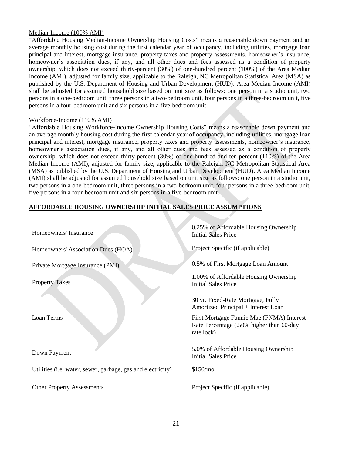#### Median-Income (100% AMI)

"Affordable Housing Median-Income Ownership Housing Costs" means a reasonable down payment and an average monthly housing cost during the first calendar year of occupancy, including utilities, mortgage loan principal and interest, mortgage insurance, property taxes and property assessments, homeowner's insurance, homeowner's association dues, if any, and all other dues and fees assessed as a condition of property ownership, which does not exceed thirty-percent (30%) of one-hundred percent (100%) of the Area Median Income (AMI), adjusted for family size, applicable to the Raleigh, NC Metropolitan Statistical Area (MSA) as published by the U.S. Department of Housing and Urban Development (HUD). Area Median Income (AMI) shall be adjusted for assumed household size based on unit size as follows: one person in a studio unit, two persons in a one-bedroom unit, three persons in a two-bedroom unit, four persons in a three-bedroom unit, five persons in a four-bedroom unit and six persons in a five-bedroom unit.

#### Workforce-Income (110% AMI)

"Affordable Housing Workforce-Income Ownership Housing Costs" means a reasonable down payment and an average monthly housing cost during the first calendar year of occupancy, including utilities, mortgage loan principal and interest, mortgage insurance, property taxes and property assessments, homeowner's insurance, homeowner's association dues, if any, and all other dues and fees assessed as a condition of property ownership, which does not exceed thirty-percent (30%) of one-hundred and ten-percent (110%) of the Area Median Income (AMI), adjusted for family size, applicable to the Raleigh, NC Metropolitan Statistical Area (MSA) as published by the U.S. Department of Housing and Urban Development (HUD). Area Median Income (AMI) shall be adjusted for assumed household size based on unit size as follows: one person in a studio unit, two persons in a one-bedroom unit, three persons in a two-bedroom unit, four persons in a three-bedroom unit, five persons in a four-bedroom unit and six persons in a five-bedroom unit.

#### **AFFORDABLE HOUSING OWNERSHIP INITIAL SALES PRICE ASSUMPTIONS**

| Homeowners' Insurance                                       | 0.25% of Affordable Housing Ownership<br><b>Initial Sales Price</b>                                 |
|-------------------------------------------------------------|-----------------------------------------------------------------------------------------------------|
| Homeowners' Association Dues (HOA)                          | Project Specific (if applicable)                                                                    |
| Private Mortgage Insurance (PMI)                            | 0.5% of First Mortgage Loan Amount                                                                  |
| <b>Property Taxes</b>                                       | 1.00% of Affordable Housing Ownership<br><b>Initial Sales Price</b>                                 |
|                                                             | 30 yr. Fixed-Rate Mortgage, Fully<br>Amortized Principal + Interest Loan                            |
| Loan Terms                                                  | First Mortgage Fannie Mae (FNMA) Interest<br>Rate Percentage (.50% higher than 60-day<br>rate lock) |
| Down Payment                                                | 5.0% of Affordable Housing Ownership<br><b>Initial Sales Price</b>                                  |
| Utilities (i.e. water, sewer, garbage, gas and electricity) | \$150/mo.                                                                                           |
| <b>Other Property Assessments</b>                           | Project Specific (if applicable)                                                                    |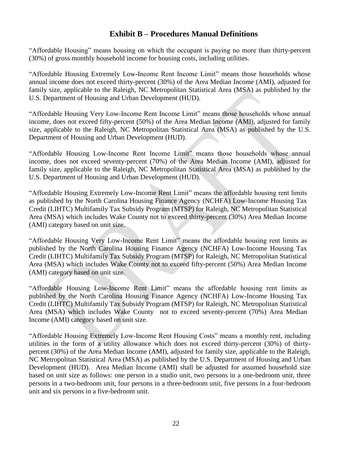# **Exhibit B – Procedures Manual Definitions**

<span id="page-21-0"></span>"Affordable Housing" means housing on which the occupant is paying no more than thirty-percent (30%) of gross monthly household income for housing costs, including utilities.

"Affordable Housing Extremely Low-Income Rent Income Limit" means those households whose annual income does not exceed thirty-percent (30%) of the Area Median Income (AMI), adjusted for family size, applicable to the Raleigh, NC Metropolitan Statistical Area (MSA) as published by the U.S. Department of Housing and Urban Development (HUD).

"Affordable Housing Very Low-Income Rent Income Limit" means those households whose annual income, does not exceed fifty-percent (50%) of the Area Median Income (AMI), adjusted for family size, applicable to the Raleigh, NC Metropolitan Statistical Area (MSA) as published by the U.S. Department of Housing and Urban Development (HUD).

"Affordable Housing Low-Income Rent Income Limit" means those households whose annual income, does not exceed seventy-percent (70%) of the Area Median Income (AMI), adjusted for family size, applicable to the Raleigh, NC Metropolitan Statistical Area (MSA) as published by the U.S. Department of Housing and Urban Development (HUD).

"Affordable Housing Extremely Low-Income Rent Limit" means the affordable housing rent limits as published by the North Carolina Housing Finance Agency (NCHFA) Low-Income Housing Tax Credit (LIHTC) Multifamily Tax Subsidy Program (MTSP) for Raleigh, NC Metropolitan Statistical Area (MSA) which includes Wake County not to exceed thirty-percent (30%) Area Median Income (AMI) category based on unit size.

"Affordable Housing Very Low-Income Rent Limit" means the affordable housing rent limits as published by the North Carolina Housing Finance Agency (NCHFA) Low-Income Housing Tax Credit (LIHTC) Multifamily Tax Subsidy Program (MTSP) for Raleigh, NC Metropolitan Statistical Area (MSA) which includes Wake County not to exceed fifty-percent (50%) Area Median Income (AMI) category based on unit size.

"Affordable Housing Low-Income Rent Limit" means the affordable housing rent limits as published by the North Carolina Housing Finance Agency (NCHFA) Low-Income Housing Tax Credit (LIHTC) Multifamily Tax Subsidy Program (MTSP) for Raleigh, NC Metropolitan Statistical Area (MSA) which includes Wake County not to exceed seventy-percent (70%) Area Median Income (AMI) category based on unit size.

"Affordable Housing Extremely Low-Income Rent Housing Costs" means a monthly rent, including utilities in the form of a utility allowance which does not exceed thirty-percent (30%) of thirtypercent (30%) of the Area Median Income (AMI), adjusted for family size, applicable to the Raleigh, NC Metropolitan Statistical Area (MSA) as published by the U.S. Department of Housing and Urban Development (HUD). Area Median Income (AMI) shall be adjusted for assumed household size based on unit size as follows: one person in a studio unit, two persons in a one-bedroom unit, three persons in a two-bedroom unit, four persons in a three-bedroom unit, five persons in a four-bedroom unit and six persons in a five-bedroom unit.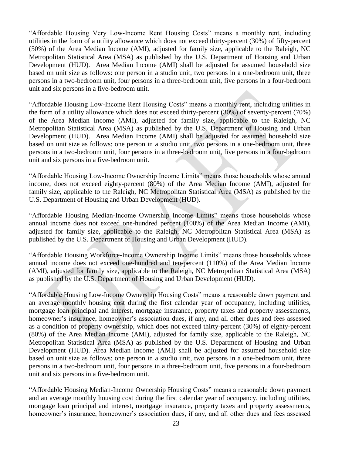"Affordable Housing Very Low-Income Rent Housing Costs" means a monthly rent, including utilities in the form of a utility allowance which does not exceed thirty-percent (30%) of fifty-percent (50%) of the Area Median Income (AMI), adjusted for family size, applicable to the Raleigh, NC Metropolitan Statistical Area (MSA) as published by the U.S. Department of Housing and Urban Development (HUD). Area Median Income (AMI) shall be adjusted for assumed household size based on unit size as follows: one person in a studio unit, two persons in a one-bedroom unit, three persons in a two-bedroom unit, four persons in a three-bedroom unit, five persons in a four-bedroom unit and six persons in a five-bedroom unit.

"Affordable Housing Low-Income Rent Housing Costs" means a monthly rent, including utilities in the form of a utility allowance which does not exceed thirty-percent (30%) of seventy-percent (70%) of the Area Median Income (AMI), adjusted for family size, applicable to the Raleigh, NC Metropolitan Statistical Area (MSA) as published by the U.S. Department of Housing and Urban Development (HUD). Area Median Income (AMI) shall be adjusted for assumed household size based on unit size as follows: one person in a studio unit, two persons in a one-bedroom unit, three persons in a two-bedroom unit, four persons in a three-bedroom unit, five persons in a four-bedroom unit and six persons in a five-bedroom unit.

"Affordable Housing Low-Income Ownership Income Limits" means those households whose annual income, does not exceed eighty-percent (80%) of the Area Median Income (AMI), adjusted for family size, applicable to the Raleigh, NC Metropolitan Statistical Area (MSA) as published by the U.S. Department of Housing and Urban Development (HUD).

"Affordable Housing Median-Income Ownership Income Limits" means those households whose annual income does not exceed one-hundred percent (100%) of the Area Median Income (AMI), adjusted for family size, applicable to the Raleigh, NC Metropolitan Statistical Area (MSA) as published by the U.S. Department of Housing and Urban Development (HUD).

"Affordable Housing Workforce-Income Ownership Income Limits" means those households whose annual income does not exceed one-hundred and ten-percent (110%) of the Area Median Income (AMI), adjusted for family size, applicable to the Raleigh, NC Metropolitan Statistical Area (MSA) as published by the U.S. Department of Housing and Urban Development (HUD).

"Affordable Housing Low-Income Ownership Housing Costs" means a reasonable down payment and an average monthly housing cost during the first calendar year of occupancy, including utilities, mortgage loan principal and interest, mortgage insurance, property taxes and property assessments, homeowner's insurance, homeowner's association dues, if any, and all other dues and fees assessed as a condition of property ownership, which does not exceed thirty-percent (30%) of eighty-percent (80%) of the Area Median Income (AMI), adjusted for family size, applicable to the Raleigh, NC Metropolitan Statistical Area (MSA) as published by the U.S. Department of Housing and Urban Development (HUD). Area Median Income (AMI) shall be adjusted for assumed household size based on unit size as follows: one person in a studio unit, two persons in a one-bedroom unit, three persons in a two-bedroom unit, four persons in a three-bedroom unit, five persons in a four-bedroom unit and six persons in a five-bedroom unit.

"Affordable Housing Median-Income Ownership Housing Costs" means a reasonable down payment and an average monthly housing cost during the first calendar year of occupancy, including utilities, mortgage loan principal and interest, mortgage insurance, property taxes and property assessments, homeowner's insurance, homeowner's association dues, if any, and all other dues and fees assessed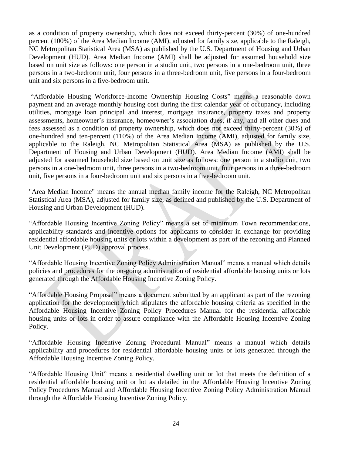as a condition of property ownership, which does not exceed thirty-percent (30%) of one-hundred percent (100%) of the Area Median Income (AMI), adjusted for family size, applicable to the Raleigh, NC Metropolitan Statistical Area (MSA) as published by the U.S. Department of Housing and Urban Development (HUD). Area Median Income (AMI) shall be adjusted for assumed household size based on unit size as follows: one person in a studio unit, two persons in a one-bedroom unit, three persons in a two-bedroom unit, four persons in a three-bedroom unit, five persons in a four-bedroom unit and six persons in a five-bedroom unit.

"Affordable Housing Workforce-Income Ownership Housing Costs" means a reasonable down payment and an average monthly housing cost during the first calendar year of occupancy, including utilities, mortgage loan principal and interest, mortgage insurance, property taxes and property assessments, homeowner's insurance, homeowner's association dues, if any, and all other dues and fees assessed as a condition of property ownership, which does not exceed thirty-percent (30%) of one-hundred and ten-percent (110%) of the Area Median Income (AMI), adjusted for family size, applicable to the Raleigh, NC Metropolitan Statistical Area (MSA) as published by the U.S. Department of Housing and Urban Development (HUD). Area Median Income (AMI) shall be adjusted for assumed household size based on unit size as follows: one person in a studio unit, two persons in a one-bedroom unit, three persons in a two-bedroom unit, four persons in a three-bedroom unit, five persons in a four-bedroom unit and six persons in a five-bedroom unit.

"Area Median Income" means the annual median family income for the Raleigh, NC Metropolitan Statistical Area (MSA), adjusted for family size, as defined and published by the U.S. Department of Housing and Urban Development (HUD).

"Affordable Housing Incentive Zoning Policy" means a set of minimum Town recommendations, applicability standards and incentive options for applicants to consider in exchange for providing residential affordable housing units or lots within a development as part of the rezoning and Planned Unit Development (PUD) approval process.

"Affordable Housing Incentive Zoning Policy Administration Manual" means a manual which details policies and procedures for the on-going administration of residential affordable housing units or lots generated through the Affordable Housing Incentive Zoning Policy.

"Affordable Housing Proposal" means a document submitted by an applicant as part of the rezoning application for the development which stipulates the affordable housing criteria as specified in the Affordable Housing Incentive Zoning Policy Procedures Manual for the residential affordable housing units or lots in order to assure compliance with the Affordable Housing Incentive Zoning Policy.

"Affordable Housing Incentive Zoning Procedural Manual" means a manual which details applicability and procedures for residential affordable housing units or lots generated through the Affordable Housing Incentive Zoning Policy.

"Affordable Housing Unit" means a residential dwelling unit or lot that meets the definition of a residential affordable housing unit or lot as detailed in the Affordable Housing Incentive Zoning Policy Procedures Manual and Affordable Housing Incentive Zoning Policy Administration Manual through the Affordable Housing Incentive Zoning Policy.